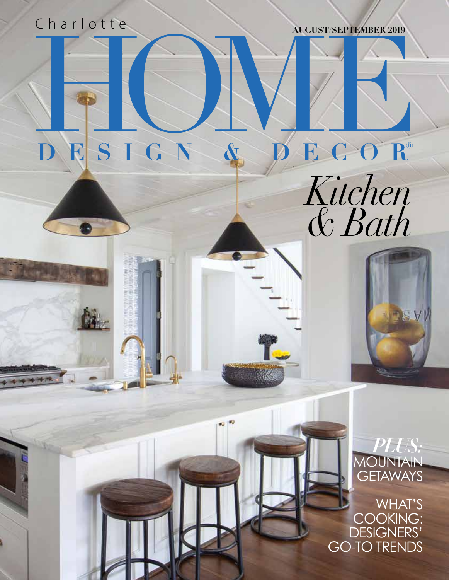## Charlotte **AUGUST/SEPTEMBER 2019**

## BESIGN & BECOR **DESIGN & DECOR®**





*PLUS:*  **DUNTAIN GETAWAYS** 

WHAT'S COOKING: DESIGNERS' GO-TO TRENDS